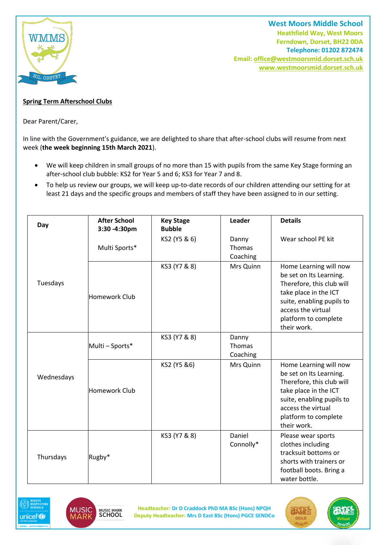

**West Moors Middle School Heathfield Way, West Moors Ferndown, Dorset, BH22 0DA Telephone: 01202 872474 Email[: office@westmoorsmid.dorset.sch.uk](mailto:office@westmoorsmid.dorset.sch.uk) www.westmoorsmid.dorset.sch.uk**

## **Spring Term Afterschool Clubs**

Dear Parent/Carer,

In line with the Government's guidance, we are delighted to share that after-school clubs will resume from next week (**the week beginning 15th March 2021**).

- We will keep children in small groups of no more than 15 with pupils from the same Key Stage forming an after-school club bubble: KS2 for Year 5 and 6; KS3 for Year 7 and 8.
- To help us review our groups, we will keep up-to-date records of our children attending our setting for at least 21 days and the specific groups and members of staff they have been assigned to in our setting.

| Day        | <b>After School</b><br>3:30 - 4:30pm | <b>Key Stage</b><br><b>Bubble</b> | Leader                             | <b>Details</b>                                                                                                                                                                                    |
|------------|--------------------------------------|-----------------------------------|------------------------------------|---------------------------------------------------------------------------------------------------------------------------------------------------------------------------------------------------|
|            | Multi Sports*                        | KS2 (Y5 & 6)                      | Danny<br><b>Thomas</b><br>Coaching | Wear school PE kit                                                                                                                                                                                |
| Tuesdays   | <b>Homework Club</b>                 | KS3 (Y7 & 8)                      | Mrs Quinn                          | Home Learning will now<br>be set on Its Learning.<br>Therefore, this club will<br>take place in the ICT<br>suite, enabling pupils to<br>access the virtual<br>platform to complete<br>their work. |
|            | Multi - Sports*                      | KS3 (Y7 & 8)                      | Danny<br>Thomas<br>Coaching        |                                                                                                                                                                                                   |
| Wednesdays | <b>Homework Club</b>                 | KS2 (Y5 &6)                       | Mrs Quinn                          | Home Learning will now<br>be set on Its Learning.<br>Therefore, this club will<br>take place in the ICT<br>suite, enabling pupils to<br>access the virtual<br>platform to complete<br>their work. |
| Thursdays  | Rugby*                               | KS3 (Y7 & 8)                      | Daniel<br>Connolly*                | Please wear sports<br>clothes including<br>tracksuit bottoms or<br>shorts with trainers or<br>football boots. Bring a<br>water bottle.                                                            |





**Headteacher: Dr D Craddock PhD MA BSc (Hons) NPQH Deputy Headteacher: Mrs D East BSc (Hons) PGCE SENDCo**

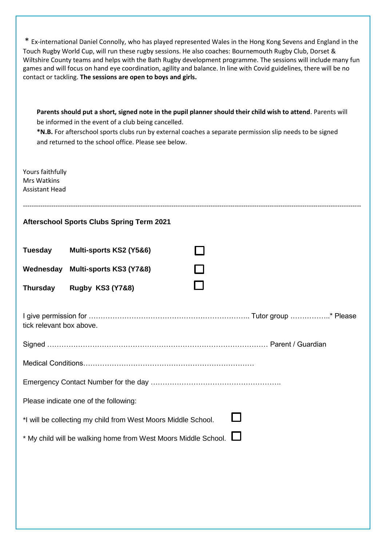| * Ex-international Daniel Connolly, who has played represented Wales in the Hong Kong Sevens and England in the<br>Touch Rugby World Cup, will run these rugby sessions. He also coaches: Bournemouth Rugby Club, Dorset &<br>Wiltshire County teams and helps with the Bath Rugby development programme. The sessions will include many fun<br>games and will focus on hand eye coordination, agility and balance. In line with Covid guidelines, there will be no<br>contact or tackling. The sessions are open to boys and girls. |  |  |  |  |  |
|--------------------------------------------------------------------------------------------------------------------------------------------------------------------------------------------------------------------------------------------------------------------------------------------------------------------------------------------------------------------------------------------------------------------------------------------------------------------------------------------------------------------------------------|--|--|--|--|--|
| Parents should put a short, signed note in the pupil planner should their child wish to attend. Parents will<br>be informed in the event of a club being cancelled.<br>*N.B. For afterschool sports clubs run by external coaches a separate permission slip needs to be signed<br>and returned to the school office. Please see below.                                                                                                                                                                                              |  |  |  |  |  |
| Yours faithfully<br><b>Mrs Watkins</b><br><b>Assistant Head</b>                                                                                                                                                                                                                                                                                                                                                                                                                                                                      |  |  |  |  |  |
| <b>Afterschool Sports Clubs Spring Term 2021</b>                                                                                                                                                                                                                                                                                                                                                                                                                                                                                     |  |  |  |  |  |
| <b>Tuesday</b><br>Multi-sports KS2 (Y5&6)                                                                                                                                                                                                                                                                                                                                                                                                                                                                                            |  |  |  |  |  |
| Wednesday<br>Multi-sports KS3 (Y7&8)                                                                                                                                                                                                                                                                                                                                                                                                                                                                                                 |  |  |  |  |  |
| <b>Rugby KS3 (Y7&amp;8)</b><br><b>Thursday</b>                                                                                                                                                                                                                                                                                                                                                                                                                                                                                       |  |  |  |  |  |
| tick relevant box above.                                                                                                                                                                                                                                                                                                                                                                                                                                                                                                             |  |  |  |  |  |
|                                                                                                                                                                                                                                                                                                                                                                                                                                                                                                                                      |  |  |  |  |  |
|                                                                                                                                                                                                                                                                                                                                                                                                                                                                                                                                      |  |  |  |  |  |
|                                                                                                                                                                                                                                                                                                                                                                                                                                                                                                                                      |  |  |  |  |  |
|                                                                                                                                                                                                                                                                                                                                                                                                                                                                                                                                      |  |  |  |  |  |
| Please indicate one of the following:                                                                                                                                                                                                                                                                                                                                                                                                                                                                                                |  |  |  |  |  |
| *I will be collecting my child from West Moors Middle School.                                                                                                                                                                                                                                                                                                                                                                                                                                                                        |  |  |  |  |  |
| * My child will be walking home from West Moors Middle School. L                                                                                                                                                                                                                                                                                                                                                                                                                                                                     |  |  |  |  |  |
|                                                                                                                                                                                                                                                                                                                                                                                                                                                                                                                                      |  |  |  |  |  |
|                                                                                                                                                                                                                                                                                                                                                                                                                                                                                                                                      |  |  |  |  |  |
|                                                                                                                                                                                                                                                                                                                                                                                                                                                                                                                                      |  |  |  |  |  |